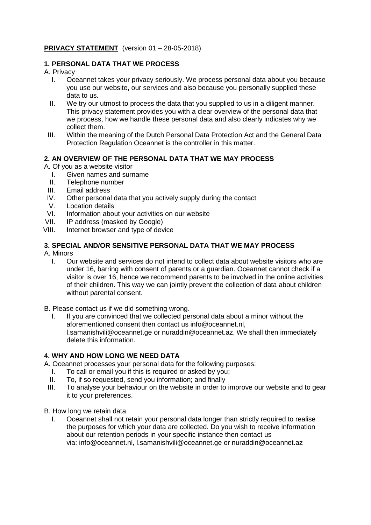## **PRIVACY STATEMENT** (version 01 – 28-05-2018)

### **1. PERSONAL DATA THAT WE PROCESS**

A. Privacy

- I. Oceannet takes your privacy seriously. We process personal data about you because you use our website, our services and also because you personally supplied these data to us.
- II. We try our utmost to process the data that you supplied to us in a diligent manner. This privacy statement provides you with a clear overview of the personal data that we process, how we handle these personal data and also clearly indicates why we collect them.
- III. Within the meaning of the Dutch Personal Data Protection Act and the General Data Protection Regulation Oceannet is the controller in this matter.

### **2. AN OVERVIEW OF THE PERSONAL DATA THAT WE MAY PROCESS**

A. Of you as a website visitor

- I. Given names and surname
- II. Telephone number
- III. Email address
- IV. Other personal data that you actively supply during the contact
- V. Location details
- VI. Information about your activities on our website<br>VII. IP address (masked by Google)
- IP address (masked by Google)
- VIII. Internet browser and type of device

### **3. SPECIAL AND/OR SENSITIVE PERSONAL DATA THAT WE MAY PROCESS**

A. Minors

- I. Our website and services do not intend to collect data about website visitors who are under 16, barring with consent of parents or a guardian. Oceannet cannot check if a visitor is over 16, hence we recommend parents to be involved in the online activities of their children. This way we can jointly prevent the collection of data about children without parental consent.
- B. Please contact us if we did something wrong.
	- I. If you are convinced that we collected personal data about a minor without the aforementioned consent then contact us info@oceannet.nl, l.samanishvili@oceannet.ge or nuraddin@oceannet.az. We shall then immediately delete this information.

#### **4. WHY AND HOW LONG WE NEED DATA**

A. Oceannet processes your personal data for the following purposes:

- I. To call or email you if this is required or asked by you;
- II. To, if so requested, send you information; and finally
- III. To analyse your behaviour on the website in order to improve our website and to gear it to your preferences.
- B. How long we retain data
	- I. Oceannet shall not retain your personal data longer than strictly required to realise the purposes for which your data are collected. Do you wish to receive information about our retention periods in your specific instance then contact us via: info@oceannet.nl, l.samanishvili@oceannet.ge or nuraddin@oceannet.az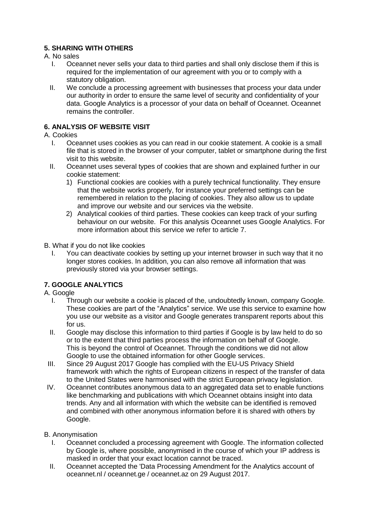# **5. SHARING WITH OTHERS**

### A. No sales

- I. Oceannet never sells your data to third parties and shall only disclose them if this is required for the implementation of our agreement with you or to comply with a statutory obligation.
- II. We conclude a processing agreement with businesses that process your data under our authority in order to ensure the same level of security and confidentiality of your data. Google Analytics is a processor of your data on behalf of Oceannet. Oceannet remains the controller.

## **6. ANALYSIS OF WEBSITE VISIT**

### A. Cookies

- I. Oceannet uses cookies as you can read in our cookie statement. A cookie is a small file that is stored in the browser of your computer, tablet or smartphone during the first visit to this website.
- II. Oceannet uses several types of cookies that are shown and explained further in our cookie statement:
	- 1) Functional cookies are cookies with a purely technical functionality. They ensure that the website works properly, for instance your preferred settings can be remembered in relation to the placing of cookies. They also allow us to update and improve our website and our services via the website.
	- 2) Analytical cookies of third parties. These cookies can keep track of your surfing behaviour on our website. For this analysis Oceannet uses Google Analytics. For more information about this service we refer to article 7.

B. What if you do not like cookies

I. You can deactivate cookies by setting up your internet browser in such way that it no longer stores cookies. In addition, you can also remove all information that was previously stored via your browser settings.

# **7. GOOGLE ANALYTICS**

## A. Google

- I. Through our website a cookie is placed of the, undoubtedly known, company Google. These cookies are part of the "Analytics" service. We use this service to examine how you use our website as a visitor and Google generates transparent reports about this for us.
- II. Google may disclose this information to third parties if Google is by law held to do so or to the extent that third parties process the information on behalf of Google. This is beyond the control of Oceannet. Through the conditions we did not allow Google to use the obtained information for other Google services.
- III. Since 29 August 2017 Google has complied with the EU-US Privacy Shield framework with which the rights of European citizens in respect of the transfer of data to the United States were harmonised with the strict European privacy legislation.
- IV. Oceannet contributes anonymous data to an aggregated data set to enable functions like benchmarking and publications with which Oceannet obtains insight into data trends. Any and all information with which the website can be identified is removed and combined with other anonymous information before it is shared with others by Google.

## B. Anonymisation

- I. Oceannet concluded a processing agreement with Google. The information collected by Google is, where possible, anonymised in the course of which your IP address is masked in order that your exact location cannot be traced.
- II. Oceannet accepted the 'Data Processing Amendment for the Analytics account of oceannet.nl / oceannet.ge / oceannet.az on 29 August 2017.